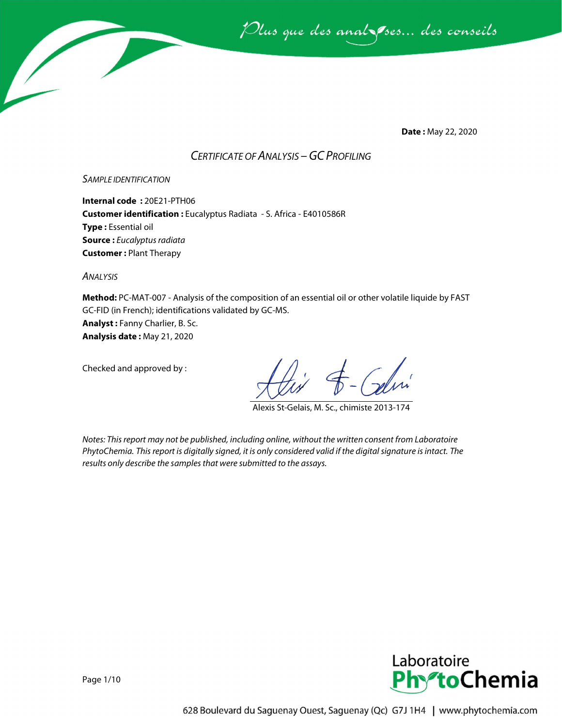

**Date :** May 22, 2020

## *CERTIFICATE OF ANALYSIS –GC PROFILING*

#### *SAMPLE IDENTIFICATION*

**Internal code :** 20E21-PTH06 **Customer identification :** Eucalyptus Radiata - S. Africa - E4010586R **Type :** Essential oil **Source :** *Eucalyptus radiata* **Customer :** Plant Therapy

*ANALYSIS*

**Method:** PC-MAT-007 - Analysis of the composition of an essential oil or other volatile liquide by FAST GC-FID (in French); identifications validated by GC-MS.

**Analyst :** Fanny Charlier, B. Sc.

**Analysis date :** May 21, 2020

Checked and approved by :

Alexis St-Gelais, M. Sc., chimiste 2013-174

*Notes: This report may not be published, including online, without the written consent from Laboratoire PhytoChemia. This report is digitally signed, it is only considered valid if the digital signature is intact. The results only describe the samples that were submitted to the assays.*

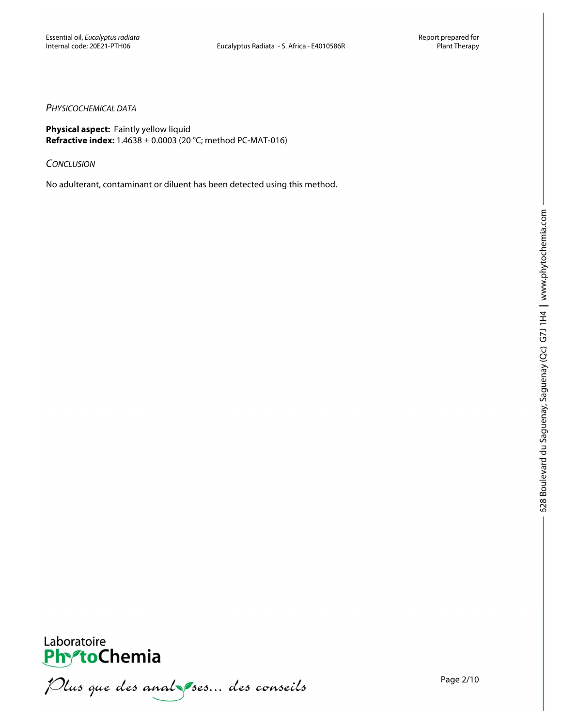#### *PHYSICOCHEMICAL DATA*

**Physical aspect:** Faintly yellow liquid **Refractive index:** 1.4638 ± 0.0003 (20 °C; method PC-MAT-016)

*CONCLUSION*

No adulterant, contaminant or diluent has been detected using this method.



**PhytoChemia**<br>*PhytoChemia*<br>*Plus que des analyses... des conseils*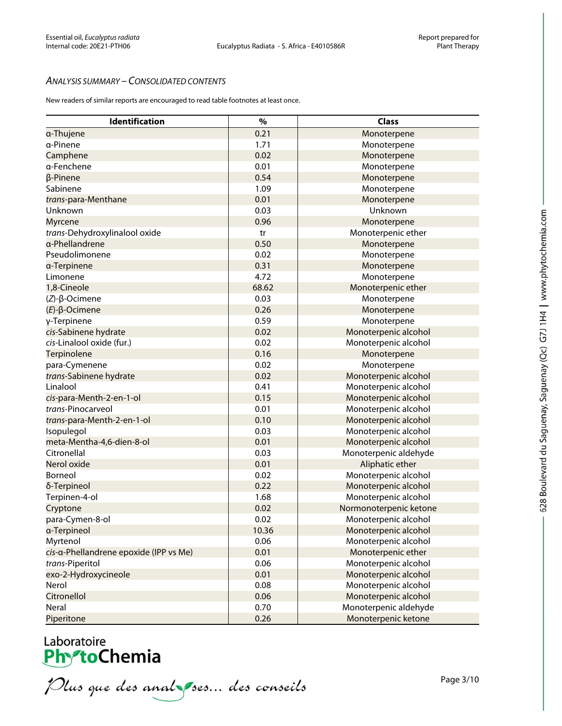### *ANALYSIS SUMMARY – CONSOLIDATED CONTENTS*

New readers of similar reports are encouraged to read table footnotes at least once.

| $\%$<br>Identification<br><b>Class</b><br>0.21<br>Monoterpene<br>a-Thujene<br>a-Pinene<br>1.71<br>Monoterpene<br>0.02<br>Camphene<br>Monoterpene<br>0.01<br>a-Fenchene<br>Monoterpene<br>0.54<br>$\beta$ -Pinene<br>Monoterpene<br>1.09<br>Sabinene<br>Monoterpene<br>0.01<br>trans-para-Menthane<br>Monoterpene<br>0.03<br>Unknown<br>Unknown<br>0.96<br>Monoterpene<br><b>Myrcene</b><br>trans-Dehydroxylinalool oxide<br>tr<br>Monoterpenic ether<br>0.50<br>α-Phellandrene<br>Monoterpene<br>0.02<br>Pseudolimonene<br>Monoterpene<br>0.31<br>Monoterpene<br>a-Terpinene<br>4.72<br>Monoterpene<br>Limonene<br>68.62<br>1,8-Cineole<br>Monoterpenic ether<br>0.03<br>Monoterpene<br>$(Z)-\beta$ -Ocimene<br>0.26<br>$(E)-\beta$ -Ocimene<br>Monoterpene<br>0.59<br>γ-Terpinene<br>Monoterpene<br>0.02<br>cis-Sabinene hydrate<br>Monoterpenic alcohol<br>0.02<br>Monoterpenic alcohol<br>cis-Linalool oxide (fur.)<br>0.16<br>Monoterpene<br>Terpinolene<br>0.02<br>Monoterpene<br>para-Cymenene<br>0.02<br>trans-Sabinene hydrate<br>Monoterpenic alcohol<br>0.41<br>Monoterpenic alcohol<br>Linalool<br>0.15<br>cis-para-Menth-2-en-1-ol<br>Monoterpenic alcohol<br>trans-Pinocarveol<br>0.01<br>Monoterpenic alcohol<br>0.10<br>Monoterpenic alcohol<br>trans-para-Menth-2-en-1-ol<br>0.03<br>Monoterpenic alcohol<br>Isopulegol<br>meta-Mentha-4,6-dien-8-ol<br>0.01<br>Monoterpenic alcohol<br>Citronellal<br>0.03<br>Monoterpenic aldehyde<br>0.01<br>Nerol oxide<br>Aliphatic ether<br>0.02<br>Monoterpenic alcohol<br>Borneol<br>0.22<br>Monoterpenic alcohol<br>δ-Terpineol<br>1.68<br>Monoterpenic alcohol<br>Terpinen-4-ol<br>0.02<br>Normonoterpenic ketone<br>Cryptone<br>0.02<br>para-Cymen-8-ol<br>Monoterpenic alcohol<br>a-Terpineol<br>10.36<br>Monoterpenic alcohol<br>0.06<br>Monoterpenic alcohol<br>Myrtenol<br>0.01<br>Monoterpenic ether<br>cis-a-Phellandrene epoxide (IPP vs Me)<br>0.06<br>trans-Piperitol<br>Monoterpenic alcohol<br>0.01<br>Monoterpenic alcohol<br>exo-2-Hydroxycineole<br>0.08<br>Nerol<br>Monoterpenic alcohol<br>Citronellol<br>0.06<br>Monoterpenic alcohol<br>0.70<br>Monoterpenic aldehyde<br>Neral<br>0.26<br>Piperitone<br>Monoterpenic ketone |  |  |
|----------------------------------------------------------------------------------------------------------------------------------------------------------------------------------------------------------------------------------------------------------------------------------------------------------------------------------------------------------------------------------------------------------------------------------------------------------------------------------------------------------------------------------------------------------------------------------------------------------------------------------------------------------------------------------------------------------------------------------------------------------------------------------------------------------------------------------------------------------------------------------------------------------------------------------------------------------------------------------------------------------------------------------------------------------------------------------------------------------------------------------------------------------------------------------------------------------------------------------------------------------------------------------------------------------------------------------------------------------------------------------------------------------------------------------------------------------------------------------------------------------------------------------------------------------------------------------------------------------------------------------------------------------------------------------------------------------------------------------------------------------------------------------------------------------------------------------------------------------------------------------------------------------------------------------------------------------------------------------------------------------------------------------------------------------------------------------------------------------------------------------------------------------------------------------------------------------|--|--|
|                                                                                                                                                                                                                                                                                                                                                                                                                                                                                                                                                                                                                                                                                                                                                                                                                                                                                                                                                                                                                                                                                                                                                                                                                                                                                                                                                                                                                                                                                                                                                                                                                                                                                                                                                                                                                                                                                                                                                                                                                                                                                                                                                                                                          |  |  |
|                                                                                                                                                                                                                                                                                                                                                                                                                                                                                                                                                                                                                                                                                                                                                                                                                                                                                                                                                                                                                                                                                                                                                                                                                                                                                                                                                                                                                                                                                                                                                                                                                                                                                                                                                                                                                                                                                                                                                                                                                                                                                                                                                                                                          |  |  |
|                                                                                                                                                                                                                                                                                                                                                                                                                                                                                                                                                                                                                                                                                                                                                                                                                                                                                                                                                                                                                                                                                                                                                                                                                                                                                                                                                                                                                                                                                                                                                                                                                                                                                                                                                                                                                                                                                                                                                                                                                                                                                                                                                                                                          |  |  |
|                                                                                                                                                                                                                                                                                                                                                                                                                                                                                                                                                                                                                                                                                                                                                                                                                                                                                                                                                                                                                                                                                                                                                                                                                                                                                                                                                                                                                                                                                                                                                                                                                                                                                                                                                                                                                                                                                                                                                                                                                                                                                                                                                                                                          |  |  |
|                                                                                                                                                                                                                                                                                                                                                                                                                                                                                                                                                                                                                                                                                                                                                                                                                                                                                                                                                                                                                                                                                                                                                                                                                                                                                                                                                                                                                                                                                                                                                                                                                                                                                                                                                                                                                                                                                                                                                                                                                                                                                                                                                                                                          |  |  |
|                                                                                                                                                                                                                                                                                                                                                                                                                                                                                                                                                                                                                                                                                                                                                                                                                                                                                                                                                                                                                                                                                                                                                                                                                                                                                                                                                                                                                                                                                                                                                                                                                                                                                                                                                                                                                                                                                                                                                                                                                                                                                                                                                                                                          |  |  |
|                                                                                                                                                                                                                                                                                                                                                                                                                                                                                                                                                                                                                                                                                                                                                                                                                                                                                                                                                                                                                                                                                                                                                                                                                                                                                                                                                                                                                                                                                                                                                                                                                                                                                                                                                                                                                                                                                                                                                                                                                                                                                                                                                                                                          |  |  |
|                                                                                                                                                                                                                                                                                                                                                                                                                                                                                                                                                                                                                                                                                                                                                                                                                                                                                                                                                                                                                                                                                                                                                                                                                                                                                                                                                                                                                                                                                                                                                                                                                                                                                                                                                                                                                                                                                                                                                                                                                                                                                                                                                                                                          |  |  |
|                                                                                                                                                                                                                                                                                                                                                                                                                                                                                                                                                                                                                                                                                                                                                                                                                                                                                                                                                                                                                                                                                                                                                                                                                                                                                                                                                                                                                                                                                                                                                                                                                                                                                                                                                                                                                                                                                                                                                                                                                                                                                                                                                                                                          |  |  |
|                                                                                                                                                                                                                                                                                                                                                                                                                                                                                                                                                                                                                                                                                                                                                                                                                                                                                                                                                                                                                                                                                                                                                                                                                                                                                                                                                                                                                                                                                                                                                                                                                                                                                                                                                                                                                                                                                                                                                                                                                                                                                                                                                                                                          |  |  |
|                                                                                                                                                                                                                                                                                                                                                                                                                                                                                                                                                                                                                                                                                                                                                                                                                                                                                                                                                                                                                                                                                                                                                                                                                                                                                                                                                                                                                                                                                                                                                                                                                                                                                                                                                                                                                                                                                                                                                                                                                                                                                                                                                                                                          |  |  |
|                                                                                                                                                                                                                                                                                                                                                                                                                                                                                                                                                                                                                                                                                                                                                                                                                                                                                                                                                                                                                                                                                                                                                                                                                                                                                                                                                                                                                                                                                                                                                                                                                                                                                                                                                                                                                                                                                                                                                                                                                                                                                                                                                                                                          |  |  |
|                                                                                                                                                                                                                                                                                                                                                                                                                                                                                                                                                                                                                                                                                                                                                                                                                                                                                                                                                                                                                                                                                                                                                                                                                                                                                                                                                                                                                                                                                                                                                                                                                                                                                                                                                                                                                                                                                                                                                                                                                                                                                                                                                                                                          |  |  |
|                                                                                                                                                                                                                                                                                                                                                                                                                                                                                                                                                                                                                                                                                                                                                                                                                                                                                                                                                                                                                                                                                                                                                                                                                                                                                                                                                                                                                                                                                                                                                                                                                                                                                                                                                                                                                                                                                                                                                                                                                                                                                                                                                                                                          |  |  |
|                                                                                                                                                                                                                                                                                                                                                                                                                                                                                                                                                                                                                                                                                                                                                                                                                                                                                                                                                                                                                                                                                                                                                                                                                                                                                                                                                                                                                                                                                                                                                                                                                                                                                                                                                                                                                                                                                                                                                                                                                                                                                                                                                                                                          |  |  |
|                                                                                                                                                                                                                                                                                                                                                                                                                                                                                                                                                                                                                                                                                                                                                                                                                                                                                                                                                                                                                                                                                                                                                                                                                                                                                                                                                                                                                                                                                                                                                                                                                                                                                                                                                                                                                                                                                                                                                                                                                                                                                                                                                                                                          |  |  |
|                                                                                                                                                                                                                                                                                                                                                                                                                                                                                                                                                                                                                                                                                                                                                                                                                                                                                                                                                                                                                                                                                                                                                                                                                                                                                                                                                                                                                                                                                                                                                                                                                                                                                                                                                                                                                                                                                                                                                                                                                                                                                                                                                                                                          |  |  |
|                                                                                                                                                                                                                                                                                                                                                                                                                                                                                                                                                                                                                                                                                                                                                                                                                                                                                                                                                                                                                                                                                                                                                                                                                                                                                                                                                                                                                                                                                                                                                                                                                                                                                                                                                                                                                                                                                                                                                                                                                                                                                                                                                                                                          |  |  |
|                                                                                                                                                                                                                                                                                                                                                                                                                                                                                                                                                                                                                                                                                                                                                                                                                                                                                                                                                                                                                                                                                                                                                                                                                                                                                                                                                                                                                                                                                                                                                                                                                                                                                                                                                                                                                                                                                                                                                                                                                                                                                                                                                                                                          |  |  |
|                                                                                                                                                                                                                                                                                                                                                                                                                                                                                                                                                                                                                                                                                                                                                                                                                                                                                                                                                                                                                                                                                                                                                                                                                                                                                                                                                                                                                                                                                                                                                                                                                                                                                                                                                                                                                                                                                                                                                                                                                                                                                                                                                                                                          |  |  |
|                                                                                                                                                                                                                                                                                                                                                                                                                                                                                                                                                                                                                                                                                                                                                                                                                                                                                                                                                                                                                                                                                                                                                                                                                                                                                                                                                                                                                                                                                                                                                                                                                                                                                                                                                                                                                                                                                                                                                                                                                                                                                                                                                                                                          |  |  |
|                                                                                                                                                                                                                                                                                                                                                                                                                                                                                                                                                                                                                                                                                                                                                                                                                                                                                                                                                                                                                                                                                                                                                                                                                                                                                                                                                                                                                                                                                                                                                                                                                                                                                                                                                                                                                                                                                                                                                                                                                                                                                                                                                                                                          |  |  |
|                                                                                                                                                                                                                                                                                                                                                                                                                                                                                                                                                                                                                                                                                                                                                                                                                                                                                                                                                                                                                                                                                                                                                                                                                                                                                                                                                                                                                                                                                                                                                                                                                                                                                                                                                                                                                                                                                                                                                                                                                                                                                                                                                                                                          |  |  |
|                                                                                                                                                                                                                                                                                                                                                                                                                                                                                                                                                                                                                                                                                                                                                                                                                                                                                                                                                                                                                                                                                                                                                                                                                                                                                                                                                                                                                                                                                                                                                                                                                                                                                                                                                                                                                                                                                                                                                                                                                                                                                                                                                                                                          |  |  |
|                                                                                                                                                                                                                                                                                                                                                                                                                                                                                                                                                                                                                                                                                                                                                                                                                                                                                                                                                                                                                                                                                                                                                                                                                                                                                                                                                                                                                                                                                                                                                                                                                                                                                                                                                                                                                                                                                                                                                                                                                                                                                                                                                                                                          |  |  |
|                                                                                                                                                                                                                                                                                                                                                                                                                                                                                                                                                                                                                                                                                                                                                                                                                                                                                                                                                                                                                                                                                                                                                                                                                                                                                                                                                                                                                                                                                                                                                                                                                                                                                                                                                                                                                                                                                                                                                                                                                                                                                                                                                                                                          |  |  |
|                                                                                                                                                                                                                                                                                                                                                                                                                                                                                                                                                                                                                                                                                                                                                                                                                                                                                                                                                                                                                                                                                                                                                                                                                                                                                                                                                                                                                                                                                                                                                                                                                                                                                                                                                                                                                                                                                                                                                                                                                                                                                                                                                                                                          |  |  |
|                                                                                                                                                                                                                                                                                                                                                                                                                                                                                                                                                                                                                                                                                                                                                                                                                                                                                                                                                                                                                                                                                                                                                                                                                                                                                                                                                                                                                                                                                                                                                                                                                                                                                                                                                                                                                                                                                                                                                                                                                                                                                                                                                                                                          |  |  |
|                                                                                                                                                                                                                                                                                                                                                                                                                                                                                                                                                                                                                                                                                                                                                                                                                                                                                                                                                                                                                                                                                                                                                                                                                                                                                                                                                                                                                                                                                                                                                                                                                                                                                                                                                                                                                                                                                                                                                                                                                                                                                                                                                                                                          |  |  |
|                                                                                                                                                                                                                                                                                                                                                                                                                                                                                                                                                                                                                                                                                                                                                                                                                                                                                                                                                                                                                                                                                                                                                                                                                                                                                                                                                                                                                                                                                                                                                                                                                                                                                                                                                                                                                                                                                                                                                                                                                                                                                                                                                                                                          |  |  |
|                                                                                                                                                                                                                                                                                                                                                                                                                                                                                                                                                                                                                                                                                                                                                                                                                                                                                                                                                                                                                                                                                                                                                                                                                                                                                                                                                                                                                                                                                                                                                                                                                                                                                                                                                                                                                                                                                                                                                                                                                                                                                                                                                                                                          |  |  |
|                                                                                                                                                                                                                                                                                                                                                                                                                                                                                                                                                                                                                                                                                                                                                                                                                                                                                                                                                                                                                                                                                                                                                                                                                                                                                                                                                                                                                                                                                                                                                                                                                                                                                                                                                                                                                                                                                                                                                                                                                                                                                                                                                                                                          |  |  |
|                                                                                                                                                                                                                                                                                                                                                                                                                                                                                                                                                                                                                                                                                                                                                                                                                                                                                                                                                                                                                                                                                                                                                                                                                                                                                                                                                                                                                                                                                                                                                                                                                                                                                                                                                                                                                                                                                                                                                                                                                                                                                                                                                                                                          |  |  |
|                                                                                                                                                                                                                                                                                                                                                                                                                                                                                                                                                                                                                                                                                                                                                                                                                                                                                                                                                                                                                                                                                                                                                                                                                                                                                                                                                                                                                                                                                                                                                                                                                                                                                                                                                                                                                                                                                                                                                                                                                                                                                                                                                                                                          |  |  |
|                                                                                                                                                                                                                                                                                                                                                                                                                                                                                                                                                                                                                                                                                                                                                                                                                                                                                                                                                                                                                                                                                                                                                                                                                                                                                                                                                                                                                                                                                                                                                                                                                                                                                                                                                                                                                                                                                                                                                                                                                                                                                                                                                                                                          |  |  |
|                                                                                                                                                                                                                                                                                                                                                                                                                                                                                                                                                                                                                                                                                                                                                                                                                                                                                                                                                                                                                                                                                                                                                                                                                                                                                                                                                                                                                                                                                                                                                                                                                                                                                                                                                                                                                                                                                                                                                                                                                                                                                                                                                                                                          |  |  |
|                                                                                                                                                                                                                                                                                                                                                                                                                                                                                                                                                                                                                                                                                                                                                                                                                                                                                                                                                                                                                                                                                                                                                                                                                                                                                                                                                                                                                                                                                                                                                                                                                                                                                                                                                                                                                                                                                                                                                                                                                                                                                                                                                                                                          |  |  |
|                                                                                                                                                                                                                                                                                                                                                                                                                                                                                                                                                                                                                                                                                                                                                                                                                                                                                                                                                                                                                                                                                                                                                                                                                                                                                                                                                                                                                                                                                                                                                                                                                                                                                                                                                                                                                                                                                                                                                                                                                                                                                                                                                                                                          |  |  |
|                                                                                                                                                                                                                                                                                                                                                                                                                                                                                                                                                                                                                                                                                                                                                                                                                                                                                                                                                                                                                                                                                                                                                                                                                                                                                                                                                                                                                                                                                                                                                                                                                                                                                                                                                                                                                                                                                                                                                                                                                                                                                                                                                                                                          |  |  |
|                                                                                                                                                                                                                                                                                                                                                                                                                                                                                                                                                                                                                                                                                                                                                                                                                                                                                                                                                                                                                                                                                                                                                                                                                                                                                                                                                                                                                                                                                                                                                                                                                                                                                                                                                                                                                                                                                                                                                                                                                                                                                                                                                                                                          |  |  |
|                                                                                                                                                                                                                                                                                                                                                                                                                                                                                                                                                                                                                                                                                                                                                                                                                                                                                                                                                                                                                                                                                                                                                                                                                                                                                                                                                                                                                                                                                                                                                                                                                                                                                                                                                                                                                                                                                                                                                                                                                                                                                                                                                                                                          |  |  |
|                                                                                                                                                                                                                                                                                                                                                                                                                                                                                                                                                                                                                                                                                                                                                                                                                                                                                                                                                                                                                                                                                                                                                                                                                                                                                                                                                                                                                                                                                                                                                                                                                                                                                                                                                                                                                                                                                                                                                                                                                                                                                                                                                                                                          |  |  |
|                                                                                                                                                                                                                                                                                                                                                                                                                                                                                                                                                                                                                                                                                                                                                                                                                                                                                                                                                                                                                                                                                                                                                                                                                                                                                                                                                                                                                                                                                                                                                                                                                                                                                                                                                                                                                                                                                                                                                                                                                                                                                                                                                                                                          |  |  |
|                                                                                                                                                                                                                                                                                                                                                                                                                                                                                                                                                                                                                                                                                                                                                                                                                                                                                                                                                                                                                                                                                                                                                                                                                                                                                                                                                                                                                                                                                                                                                                                                                                                                                                                                                                                                                                                                                                                                                                                                                                                                                                                                                                                                          |  |  |
|                                                                                                                                                                                                                                                                                                                                                                                                                                                                                                                                                                                                                                                                                                                                                                                                                                                                                                                                                                                                                                                                                                                                                                                                                                                                                                                                                                                                                                                                                                                                                                                                                                                                                                                                                                                                                                                                                                                                                                                                                                                                                                                                                                                                          |  |  |
|                                                                                                                                                                                                                                                                                                                                                                                                                                                                                                                                                                                                                                                                                                                                                                                                                                                                                                                                                                                                                                                                                                                                                                                                                                                                                                                                                                                                                                                                                                                                                                                                                                                                                                                                                                                                                                                                                                                                                                                                                                                                                                                                                                                                          |  |  |

Laboratoire<br>PhytoChemia<br>*Plus que des analyses*... *des conseils*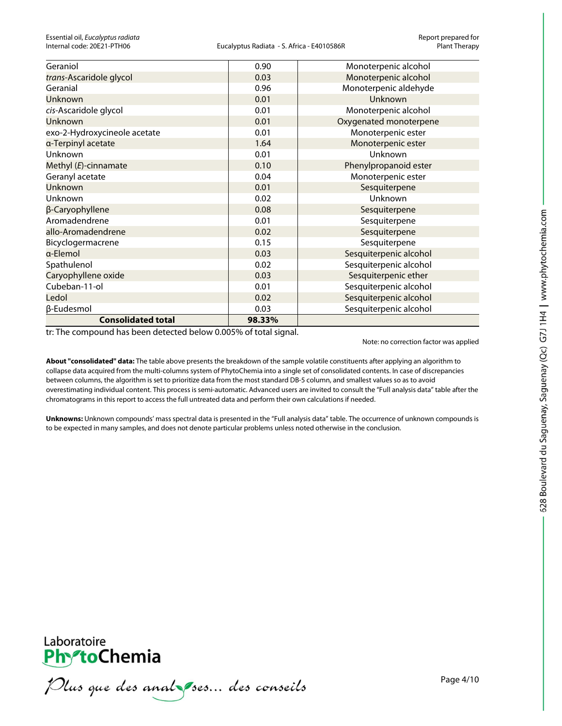| Geraniol                     | 0.90   | Monoterpenic alcohol   |
|------------------------------|--------|------------------------|
| trans-Ascaridole glycol      | 0.03   | Monoterpenic alcohol   |
| Geranial                     | 0.96   | Monoterpenic aldehyde  |
| <b>Unknown</b>               | 0.01   | Unknown                |
| cis-Ascaridole glycol        | 0.01   | Monoterpenic alcohol   |
| Unknown                      | 0.01   | Oxygenated monoterpene |
| exo-2-Hydroxycineole acetate | 0.01   | Monoterpenic ester     |
| a-Terpinyl acetate           | 1.64   | Monoterpenic ester     |
| Unknown                      | 0.01   | Unknown                |
| Methyl (E)-cinnamate         | 0.10   | Phenylpropanoid ester  |
| Geranyl acetate              | 0.04   | Monoterpenic ester     |
| <b>Unknown</b>               | 0.01   | Sesquiterpene          |
| Unknown                      | 0.02   | Unknown                |
| β-Caryophyllene              | 0.08   | Sesquiterpene          |
| Aromadendrene                | 0.01   | Sesquiterpene          |
| allo-Aromadendrene           | 0.02   | Sesquiterpene          |
| Bicyclogermacrene            | 0.15   | Sesquiterpene          |
| a-Elemol                     | 0.03   | Sesquiterpenic alcohol |
| Spathulenol                  | 0.02   | Sesquiterpenic alcohol |
| Caryophyllene oxide          | 0.03   | Sesquiterpenic ether   |
| Cubeban-11-ol                | 0.01   | Sesquiterpenic alcohol |
| Ledol                        | 0.02   | Sesquiterpenic alcohol |
| β-Eudesmol                   | 0.03   | Sesquiterpenic alcohol |
| <b>Consolidated total</b>    | 98.33% |                        |

tr: The compound has been detected below 0.005% of total signal.

Note: no correction factor was applied

**About "consolidated" data:** The table above presents the breakdown of the sample volatile constituents after applying an algorithm to collapse data acquired from the multi-columns system of PhytoChemia into a single set of consolidated contents. In case of discrepancies between columns, the algorithm is set to prioritize data from the most standard DB-5 column, and smallest values so as to avoid overestimating individual content. This process is semi-automatic. Advanced users are invited to consult the "Full analysis data" table after the chromatograms in this report to access the full untreated data and perform their own calculations if needed.

**Unknowns:** Unknown compounds' mass spectral data is presented in the "Full analysis data" table. The occurrence of unknown compounds is to be expected in many samples, and does not denote particular problems unless noted otherwise in the conclusion.



Plus que des analzes... des conseils

Page 4/10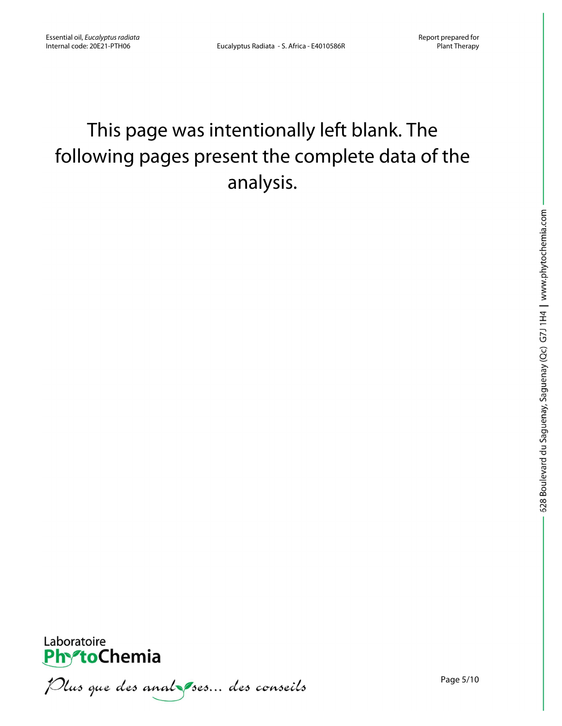# This page was intentionally left blank. The following pages present the complete data of the analysis.



Plus que des anal ses... des conseils

Page 5/10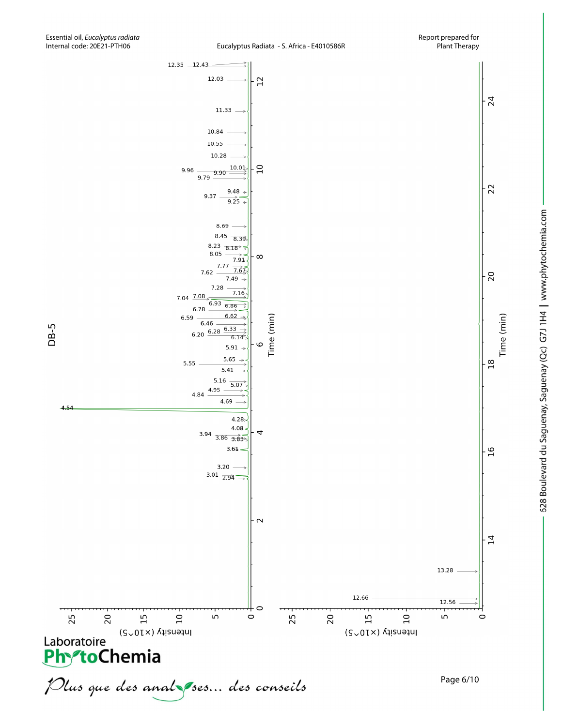Time (min)

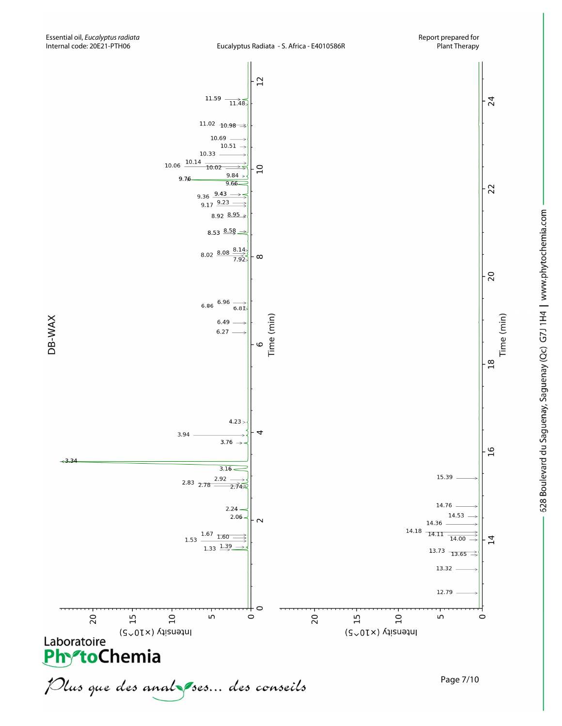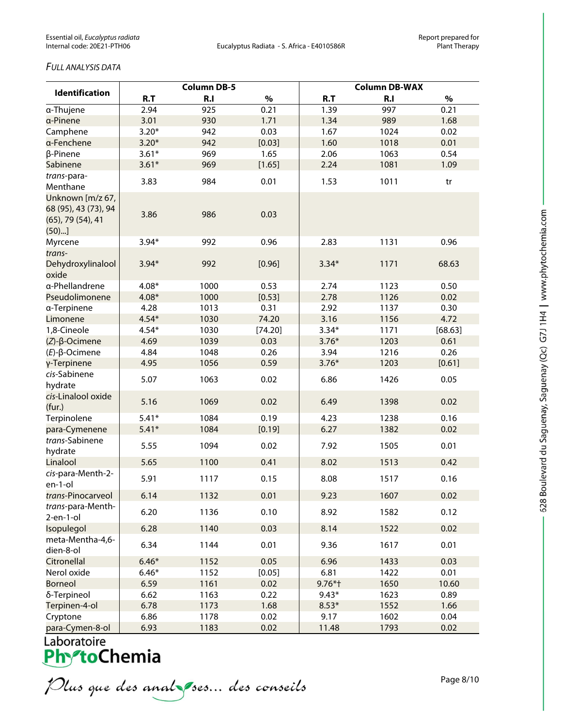#### *FULL ANALYSIS DATA*

| <b>Identification</b>                                                       | <b>Column DB-5</b> |      |         | <b>Column DB-WAX</b> |      |         |  |
|-----------------------------------------------------------------------------|--------------------|------|---------|----------------------|------|---------|--|
|                                                                             | R.T                | R.I  | $\%$    | R.T                  | R.I  | $\%$    |  |
| a-Thujene                                                                   | 2.94               | 925  | 0.21    | 1.39                 | 997  | 0.21    |  |
| a-Pinene                                                                    | 3.01               | 930  | 1.71    | 1.34                 | 989  | 1.68    |  |
| Camphene                                                                    | $3.20*$            | 942  | 0.03    | 1.67                 | 1024 | 0.02    |  |
| a-Fenchene                                                                  | $3.20*$            | 942  | [0.03]  | 1.60                 | 1018 | 0.01    |  |
| β-Pinene                                                                    | $3.61*$            | 969  | 1.65    | 2.06                 | 1063 | 0.54    |  |
| Sabinene                                                                    | $3.61*$            | 969  | [1.65]  | 2.24                 | 1081 | 1.09    |  |
| trans-para-<br>Menthane                                                     | 3.83               | 984  | 0.01    | 1.53                 | 1011 | tr      |  |
| Unknown [m/z 67,<br>68 (95), 43 (73), 94<br>$(65)$ , 79 $(54)$ , 41<br>(50) | 3.86               | 986  | 0.03    |                      |      |         |  |
| Myrcene                                                                     | $3.94*$            | 992  | 0.96    | 2.83                 | 1131 | 0.96    |  |
| trans-<br>Dehydroxylinalool<br>oxide                                        | $3.94*$            | 992  | [0.96]  | $3.34*$              | 1171 | 68.63   |  |
| a-Phellandrene                                                              | $4.08*$            | 1000 | 0.53    | 2.74                 | 1123 | 0.50    |  |
| Pseudolimonene                                                              | $4.08*$            | 1000 | [0.53]  | 2.78                 | 1126 | 0.02    |  |
| a-Terpinene                                                                 | 4.28               | 1013 | 0.31    | 2.92                 | 1137 | 0.30    |  |
| Limonene                                                                    | $4.54*$            | 1030 | 74.20   | 3.16                 | 1156 | 4.72    |  |
| 1,8-Cineole                                                                 | $4.54*$            | 1030 | [74.20] | $3.34*$              | 1171 | [68.63] |  |
| $(Z)$ - $\beta$ -Ocimene                                                    | 4.69               | 1039 | 0.03    | $3.76*$              | 1203 | 0.61    |  |
| $(E)-\beta$ -Ocimene                                                        | 4.84               | 1048 | 0.26    | 3.94                 | 1216 | 0.26    |  |
| γ-Terpinene                                                                 | 4.95               | 1056 | 0.59    | $3.76*$              | 1203 | [0.61]  |  |
| cis-Sabinene<br>hydrate                                                     | 5.07               | 1063 | 0.02    | 6.86                 | 1426 | 0.05    |  |
| cis-Linalool oxide<br>(fur.)                                                | 5.16               | 1069 | 0.02    | 6.49                 | 1398 | 0.02    |  |
| Terpinolene                                                                 | $5.41*$            | 1084 | 0.19    | 4.23                 | 1238 | 0.16    |  |
| para-Cymenene                                                               | $5.41*$            | 1084 | [0.19]  | 6.27                 | 1382 | 0.02    |  |
| trans-Sabinene<br>hydrate                                                   | 5.55               | 1094 | 0.02    | 7.92                 | 1505 | 0.01    |  |
| Linalool                                                                    | 5.65               | 1100 | 0.41    | 8.02                 | 1513 | 0.42    |  |
| cis-para-Menth-2-<br>en-1-ol                                                | 5.91               | 1117 | 0.15    | 8.08                 | 1517 | 0.16    |  |
| trans-Pinocarveol                                                           | 6.14               | 1132 | 0.01    | 9.23                 | 1607 | 0.02    |  |
| trans-para-Menth-<br>$2$ -en-1-ol                                           | 6.20               | 1136 | 0.10    | 8.92                 | 1582 | 0.12    |  |
| Isopulegol                                                                  | 6.28               | 1140 | 0.03    | 8.14                 | 1522 | 0.02    |  |
| meta-Mentha-4,6-<br>dien-8-ol                                               | 6.34               | 1144 | 0.01    | 9.36                 | 1617 | 0.01    |  |
| Citronellal                                                                 | $6.46*$            | 1152 | 0.05    | 6.96                 | 1433 | 0.03    |  |
| Nerol oxide                                                                 | $6.46*$            | 1152 | [0.05]  | 6.81                 | 1422 | 0.01    |  |
| <b>Borneol</b>                                                              | 6.59               | 1161 | 0.02    | $9.76*$ †            | 1650 | 10.60   |  |
| δ-Terpineol                                                                 | 6.62               | 1163 | 0.22    | $9.43*$              | 1623 | 0.89    |  |
| Terpinen-4-ol                                                               | 6.78               | 1173 | 1.68    | $8.53*$              | 1552 | 1.66    |  |
| Cryptone                                                                    | 6.86               | 1178 | 0.02    | 9.17                 | 1602 | 0.04    |  |
| para-Cymen-8-ol                                                             | 693                | 1183 | 0.02    | 1148                 | 1793 | 0.02    |  |

Laboratoire<br>**Phy<sup>s</sup>toChemia** 

Plus que des analzes... des conseils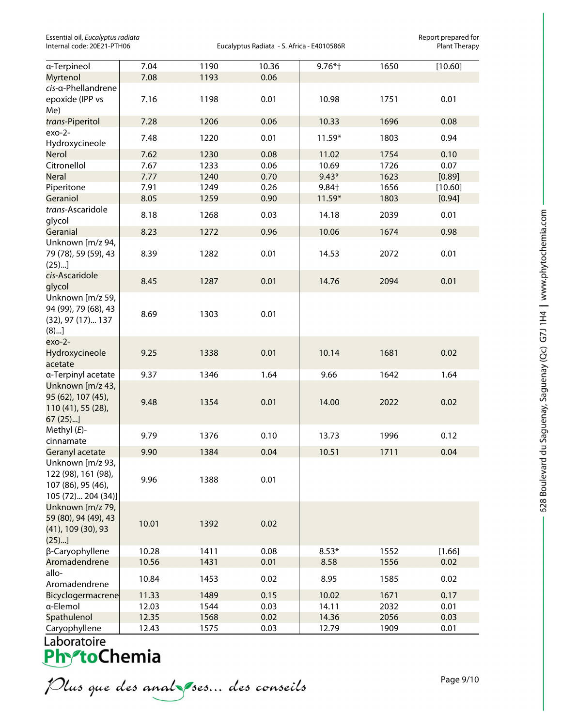Essential oil, *Eucalyptus radiata* Report prepared for

Eucalyptus Radiata - S. Africa - E4010586R

| a-Terpineol                                                                         | 7.04  | 1190 | 10.36 | 9.76*†  | 1650 | [10.60] |
|-------------------------------------------------------------------------------------|-------|------|-------|---------|------|---------|
| Myrtenol                                                                            | 7.08  | 1193 | 0.06  |         |      |         |
| cis-a-Phellandrene                                                                  |       |      |       |         |      |         |
| epoxide (IPP vs<br>Me)                                                              | 7.16  | 1198 | 0.01  | 10.98   | 1751 | 0.01    |
| trans-Piperitol                                                                     | 7.28  | 1206 | 0.06  | 10.33   | 1696 | 0.08    |
| $exo-2-$<br>Hydroxycineole                                                          | 7.48  | 1220 | 0.01  | 11.59*  | 1803 | 0.94    |
| Nerol                                                                               | 7.62  | 1230 | 0.08  | 11.02   | 1754 | 0.10    |
| Citronellol                                                                         | 7.67  | 1233 | 0.06  | 10.69   | 1726 | 0.07    |
| <b>Neral</b>                                                                        | 7.77  | 1240 | 0.70  | $9.43*$ | 1623 | [0.89]  |
| Piperitone                                                                          | 7.91  | 1249 | 0.26  | 9.84+   | 1656 | [10.60] |
| Geraniol                                                                            | 8.05  | 1259 | 0.90  | 11.59*  | 1803 | [0.94]  |
| trans-Ascaridole<br>glycol                                                          | 8.18  | 1268 | 0.03  | 14.18   | 2039 | 0.01    |
| Geranial                                                                            | 8.23  | 1272 | 0.96  | 10.06   | 1674 | 0.98    |
| Unknown [m/z 94,<br>79 (78), 59 (59), 43<br>(25)                                    | 8.39  | 1282 | 0.01  | 14.53   | 2072 | 0.01    |
| cis-Ascaridole<br>glycol                                                            | 8.45  | 1287 | 0.01  | 14.76   | 2094 | 0.01    |
| Unknown [m/z 59,<br>94 (99), 79 (68), 43<br>(32), 97 (17) 137<br>(8)                | 8.69  | 1303 | 0.01  |         |      |         |
| $exo-2-$<br>Hydroxycineole<br>acetate                                               | 9.25  | 1338 | 0.01  | 10.14   | 1681 | 0.02    |
| a-Terpinyl acetate                                                                  | 9.37  | 1346 | 1.64  | 9.66    | 1642 | 1.64    |
| Unknown [m/z 43,<br>95 (62), 107 (45),<br>110 (41), 55 (28),<br>67 (25)]            | 9.48  | 1354 | 0.01  | 14.00   | 2022 | 0.02    |
| Methyl $(E)$ -<br>cinnamate                                                         | 9.79  | 1376 | 0.10  | 13.73   | 1996 | 0.12    |
| Geranyl acetate                                                                     | 9.90  | 1384 | 0.04  | 10.51   | 1711 | 0.04    |
| Unknown [m/z 93,<br>122 (98), 161 (98),<br>107 (86), 95 (46),<br>105 (72) 204 (34)] | 9.96  | 1388 | 0.01  |         |      |         |
| Unknown [m/z 79,<br>59 (80), 94 (49), 43<br>(41), 109 (30), 93<br>(25)              | 10.01 | 1392 | 0.02  |         |      |         |
| β-Caryophyllene                                                                     | 10.28 | 1411 | 0.08  | $8.53*$ | 1552 | [1.66]  |
| Aromadendrene                                                                       | 10.56 | 1431 | 0.01  | 8.58    | 1556 | 0.02    |
| allo-                                                                               |       |      |       |         |      |         |
| Aromadendrene                                                                       | 10.84 | 1453 | 0.02  | 8.95    | 1585 | 0.02    |
| Bicyclogermacrene                                                                   | 11.33 | 1489 | 0.15  | 10.02   | 1671 | 0.17    |
| a-Elemol                                                                            | 12.03 | 1544 | 0.03  | 14.11   | 2032 | 0.01    |
| Spathulenol                                                                         | 12.35 | 1568 | 0.02  | 14.36   | 2056 | 0.03    |
| Caryophyllene                                                                       | 12.43 | 1575 | 0.03  | 12.79   | 1909 | 0.01    |

Caryophyllene<br>
Laboratoire<br>
PhytoChemia<br>
Dlus que des analyses... des conseils